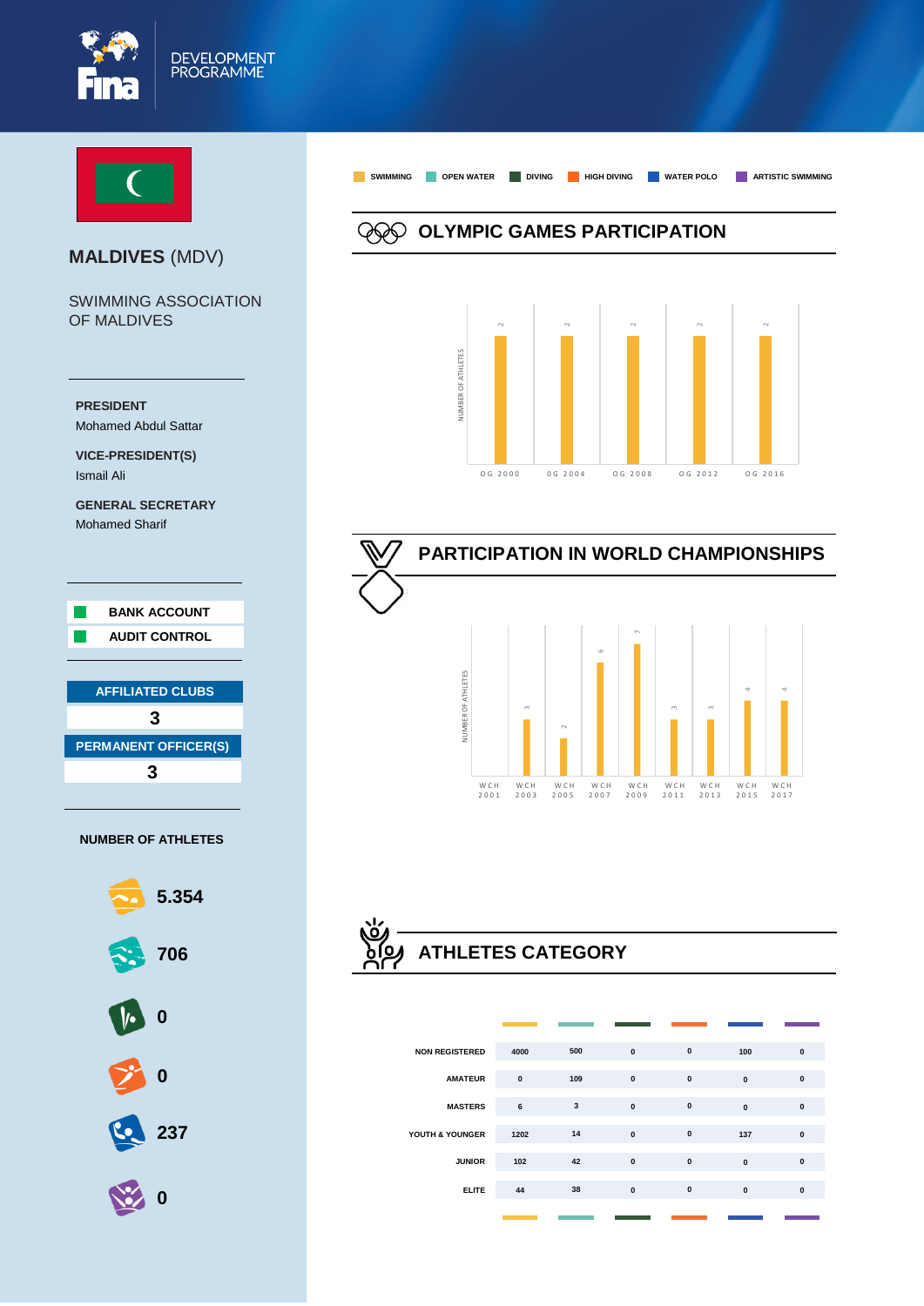



#### **MALDIVES** (MDV)

SWIMMING ASSOCIATION OF MALDIVES





**OLYMPIC GAMES PARTICIPATION**

**SWIMMING OPEN WATER DIVING HIGH DIVING WATER POLO ARTISTIC SWIMMING**





# **ATHLETES CATEGORY**

| <b>NON REGISTERED</b> | 4000      | 500 | $\mathbf 0$  | $\pmb{0}$    | 100          | $\pmb{0}$    |
|-----------------------|-----------|-----|--------------|--------------|--------------|--------------|
| <b>AMATEUR</b>        | $\pmb{0}$ | 109 | $\mathbf{0}$ | $\pmb{0}$    | $\mathbf{0}$ | $\mathbf{0}$ |
| <b>MASTERS</b>        | 6         | 3   | $\pmb{0}$    | $\pmb{0}$    | $\mathbf{0}$ | $\mathbf{0}$ |
| YOUTH & YOUNGER       | 1202      | 14  | $\mathbf{0}$ | $\pmb{0}$    | 137          | $\mathbf{0}$ |
| <b>JUNIOR</b>         | 102       | 42  | $\mathbf{0}$ | $\mathbf{0}$ | $\mathbf{0}$ | $\mathbf{0}$ |
| <b>ELITE</b>          | 44        | 38  | $\pmb{0}$    | $\pmb{0}$    | $\mathbf{0}$ | $\mathbf{0}$ |
|                       |           |     |              |              |              |              |